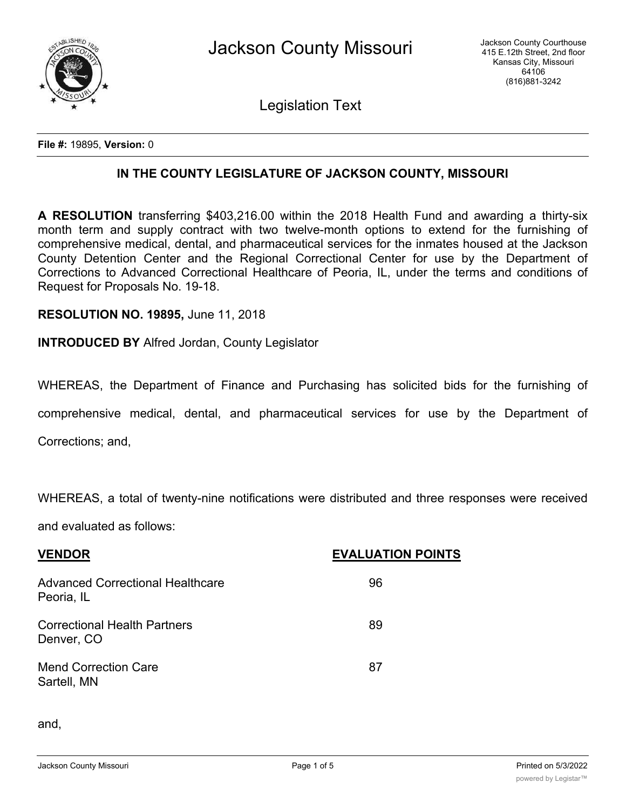

Legislation Text

**File #:** 19895, **Version:** 0

## **IN THE COUNTY LEGISLATURE OF JACKSON COUNTY, MISSOURI**

**A RESOLUTION** transferring \$403,216.00 within the 2018 Health Fund and awarding a thirty-six month term and supply contract with two twelve-month options to extend for the furnishing of comprehensive medical, dental, and pharmaceutical services for the inmates housed at the Jackson County Detention Center and the Regional Correctional Center for use by the Department of Corrections to Advanced Correctional Healthcare of Peoria, IL, under the terms and conditions of Request for Proposals No. 19-18.

**RESOLUTION NO. 19895,** June 11, 2018

**INTRODUCED BY** Alfred Jordan, County Legislator

WHEREAS, the Department of Finance and Purchasing has solicited bids for the furnishing of

comprehensive medical, dental, and pharmaceutical services for use by the Department of

Corrections; and,

WHEREAS, a total of twenty-nine notifications were distributed and three responses were received

and evaluated as follows:

| <b>EVALUATION POINTS</b> |
|--------------------------|
| 96                       |
| 89                       |
| 87                       |
|                          |

and,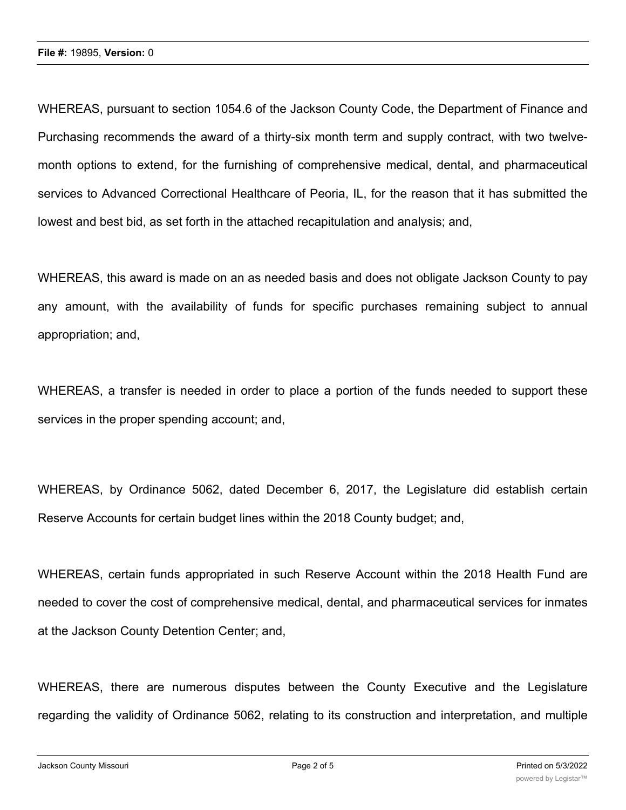WHEREAS, pursuant to section 1054.6 of the Jackson County Code, the Department of Finance and Purchasing recommends the award of a thirty-six month term and supply contract, with two twelvemonth options to extend, for the furnishing of comprehensive medical, dental, and pharmaceutical services to Advanced Correctional Healthcare of Peoria, IL, for the reason that it has submitted the lowest and best bid, as set forth in the attached recapitulation and analysis; and,

WHEREAS, this award is made on an as needed basis and does not obligate Jackson County to pay any amount, with the availability of funds for specific purchases remaining subject to annual appropriation; and,

WHEREAS, a transfer is needed in order to place a portion of the funds needed to support these services in the proper spending account; and,

WHEREAS, by Ordinance 5062, dated December 6, 2017, the Legislature did establish certain Reserve Accounts for certain budget lines within the 2018 County budget; and,

WHEREAS, certain funds appropriated in such Reserve Account within the 2018 Health Fund are needed to cover the cost of comprehensive medical, dental, and pharmaceutical services for inmates at the Jackson County Detention Center; and,

WHEREAS, there are numerous disputes between the County Executive and the Legislature regarding the validity of Ordinance 5062, relating to its construction and interpretation, and multiple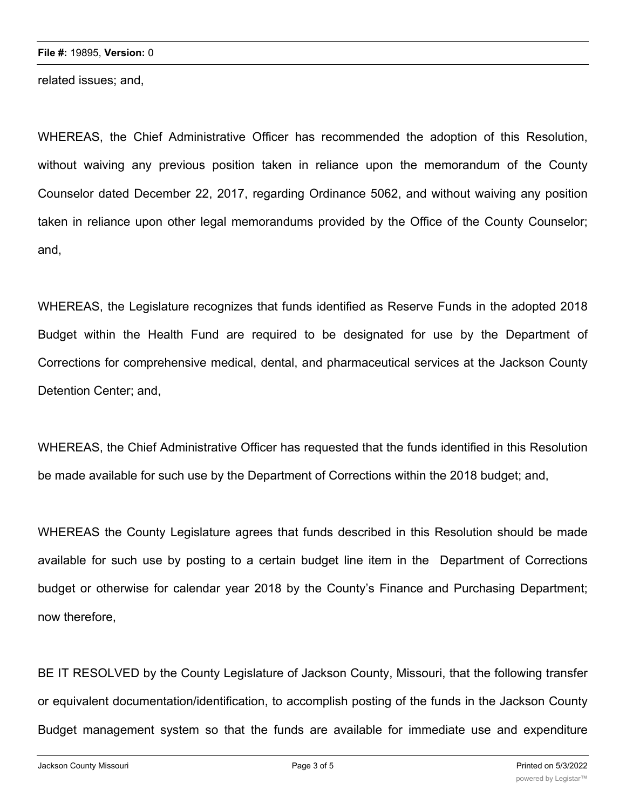related issues; and,

WHEREAS, the Chief Administrative Officer has recommended the adoption of this Resolution, without waiving any previous position taken in reliance upon the memorandum of the County Counselor dated December 22, 2017, regarding Ordinance 5062, and without waiving any position taken in reliance upon other legal memorandums provided by the Office of the County Counselor; and,

WHEREAS, the Legislature recognizes that funds identified as Reserve Funds in the adopted 2018 Budget within the Health Fund are required to be designated for use by the Department of Corrections for comprehensive medical, dental, and pharmaceutical services at the Jackson County Detention Center; and,

WHEREAS, the Chief Administrative Officer has requested that the funds identified in this Resolution be made available for such use by the Department of Corrections within the 2018 budget; and,

WHEREAS the County Legislature agrees that funds described in this Resolution should be made available for such use by posting to a certain budget line item in the Department of Corrections budget or otherwise for calendar year 2018 by the County's Finance and Purchasing Department; now therefore,

BE IT RESOLVED by the County Legislature of Jackson County, Missouri, that the following transfer or equivalent documentation/identification, to accomplish posting of the funds in the Jackson County Budget management system so that the funds are available for immediate use and expenditure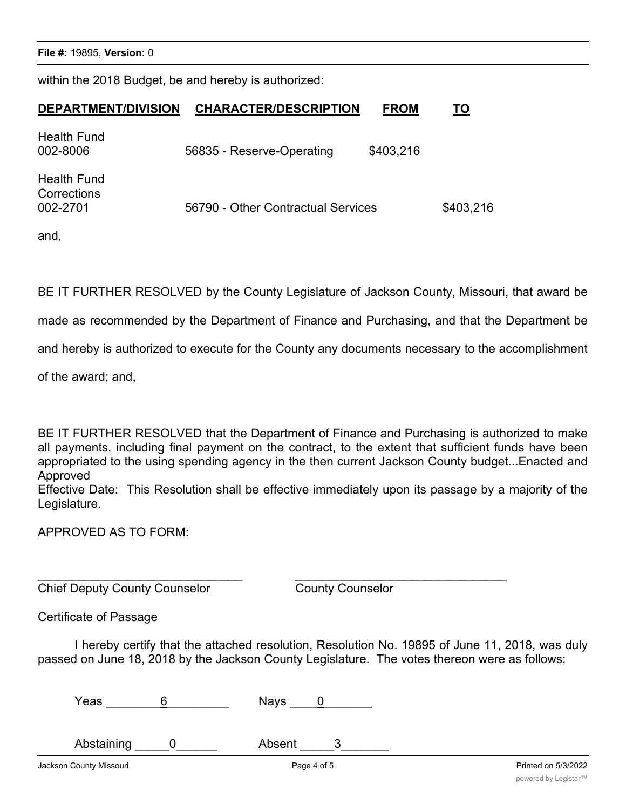Jackson County Missouri Page 4 of 5 Printed on 5/3/2022

**File #:** 19895, **Version:** 0

within the 2018 Budget, be and hereby is authorized:

## **DEPARTMENT/DIVISION CHARACTER/DESCRIPTION FROM TO**

| <b>Health Fund</b><br>002-8006                | 56835 - Reserve-Operating          | \$403,216 |           |
|-----------------------------------------------|------------------------------------|-----------|-----------|
| <b>Health Fund</b><br>Corrections<br>002-2701 | 56790 - Other Contractual Services |           | \$403,216 |

and,

BE IT FURTHER RESOLVED by the County Legislature of Jackson County, Missouri, that award be

made as recommended by the Department of Finance and Purchasing, and that the Department be

and hereby is authorized to execute for the County any documents necessary to the accomplishment

of the award; and,

BE IT FURTHER RESOLVED that the Department of Finance and Purchasing is authorized to make all payments, including final payment on the contract, to the extent that sufficient funds have been appropriated to the using spending agency in the then current Jackson County budget...Enacted and Approved

Effective Date: This Resolution shall be effective immediately upon its passage by a majority of the Legislature.

APPROVED AS TO FORM:

 $\_$  , and the contribution of the contribution of  $\overline{a}$  , and  $\overline{a}$  , and  $\overline{a}$  , and  $\overline{a}$  , and  $\overline{a}$ Chief Deputy County Counselor County Counselor

Certificate of Passage

I hereby certify that the attached resolution, Resolution No. 19895 of June 11, 2018, was duly passed on June 18, 2018 by the Jackson County Legislature. The votes thereon were as follows:

| Yeas | <b>Nays</b> |  |
|------|-------------|--|
|      |             |  |

Abstaining 0 betaining 0 absent 3